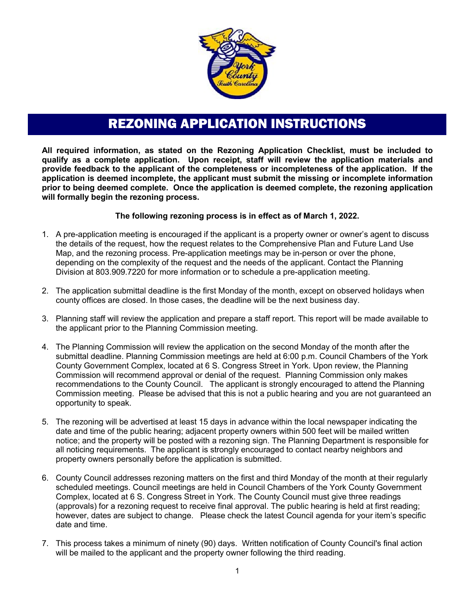

## REZONING APPLICATION INSTRUCTIONS

**All required information, as stated on the Rezoning Application Checklist, must be included to qualify as a complete application. Upon receipt, staff will review the application materials and provide feedback to the applicant of the completeness or incompleteness of the application. If the application is deemed incomplete, the applicant must submit the missing or incomplete information prior to being deemed complete. Once the application is deemed complete, the rezoning application will formally begin the rezoning process.**

#### **The following rezoning process is in effect as of March 1, 2022.**

- 1. A pre-application meeting is encouraged if the applicant is a property owner or owner's agent to discuss the details of the request, how the request relates to the Comprehensive Plan and Future Land Use Map, and the rezoning process. Pre-application meetings may be in-person or over the phone, depending on the complexity of the request and the needs of the applicant. Contact the Planning Division at 803.909.7220 for more information or to schedule a pre-application meeting.
- 2. The application submittal deadline is the first Monday of the month, except on observed holidays when county offices are closed. In those cases, the deadline will be the next business day.
- 3. Planning staff will review the application and prepare a staff report. This report will be made available to the applicant prior to the Planning Commission meeting.
- 4. The Planning Commission will review the application on the second Monday of the month after the submittal deadline. Planning Commission meetings are held at 6:00 p.m. Council Chambers of the York County Government Complex, located at 6 S. Congress Street in York. Upon review, the Planning Commission will recommend approval or denial of the request. Planning Commission only makes recommendations to the County Council. The applicant is strongly encouraged to attend the Planning Commission meeting. Please be advised that this is not a public hearing and you are not guaranteed an opportunity to speak.
- 5. The rezoning will be advertised at least 15 days in advance within the local newspaper indicating the date and time of the public hearing; adjacent property owners within 500 feet will be mailed written notice; and the property will be posted with a rezoning sign. The Planning Department is responsible for all noticing requirements. The applicant is strongly encouraged to contact nearby neighbors and property owners personally before the application is submitted.
- 6. County Council addresses rezoning matters on the first and third Monday of the month at their regularly scheduled meetings. Council meetings are held in Council Chambers of the York County Government Complex, located at 6 S. Congress Street in York. The County Council must give three readings (approvals) for a rezoning request to receive final approval. The public hearing is held at first reading; however, dates are subject to change. Please check the latest Council agenda for your item's specific date and time.
- 7. This process takes a minimum of ninety (90) days. Written notification of County Council's final action will be mailed to the applicant and the property owner following the third reading.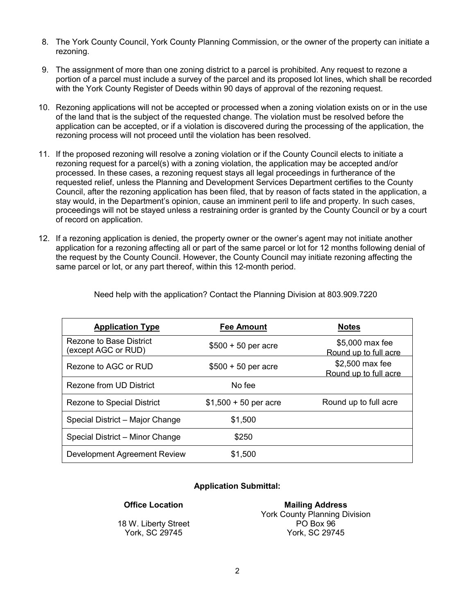- 8. The York County Council, York County Planning Commission, or the owner of the property can initiate a rezoning.
- 9. The assignment of more than one zoning district to a parcel is prohibited. Any request to rezone a portion of a parcel must include a survey of the parcel and its proposed lot lines, which shall be recorded with the York County Register of Deeds within 90 days of approval of the rezoning request.
- 10. Rezoning applications will not be accepted or processed when a zoning violation exists on or in the use of the land that is the subject of the requested change. The violation must be resolved before the application can be accepted, or if a violation is discovered during the processing of the application, the rezoning process will not proceed until the violation has been resolved.
- 11. If the proposed rezoning will resolve a zoning violation or if the County Council elects to initiate a rezoning request for a parcel(s) with a zoning violation, the application may be accepted and/or processed. In these cases, a rezoning request stays all legal proceedings in furtherance of the requested relief, unless the Planning and Development Services Department certifies to the County Council, after the rezoning application has been filed, that by reason of facts stated in the application, a stay would, in the Department's opinion, cause an imminent peril to life and property. In such cases, proceedings will not be stayed unless a restraining order is granted by the County Council or by a court of record on application.
- 12. If a rezoning application is denied, the property owner or the owner's agent may not initiate another application for a rezoning affecting all or part of the same parcel or lot for 12 months following denial of the request by the County Council. However, the County Council may initiate rezoning affecting the same parcel or lot, or any part thereof, within this 12-month period.

| <b>Application Type</b>                        | <b>Fee Amount</b>      | <b>Notes</b>                             |
|------------------------------------------------|------------------------|------------------------------------------|
| Rezone to Base District<br>(except AGC or RUD) | $$500 + 50$ per acre   | \$5,000 max fee<br>Round up to full acre |
| Rezone to AGC or RUD                           | $$500 + 50$ per acre   | \$2,500 max fee<br>Round up to full acre |
| Rezone from UD District                        | No fee                 |                                          |
| <b>Rezone to Special District</b>              | $$1,500 + 50$ per acre | Round up to full acre                    |
| Special District - Major Change                | \$1,500                |                                          |
| Special District - Minor Change                | \$250                  |                                          |
| Development Agreement Review                   | \$1,500                |                                          |

Need help with the application? Contact the Planning Division at 803.909.7220

#### **Application Submittal:**

#### **Office Location**

18 W. Liberty Street York, SC 29745

**Mailing Address** York County Planning Division PO Box 96 York, SC 29745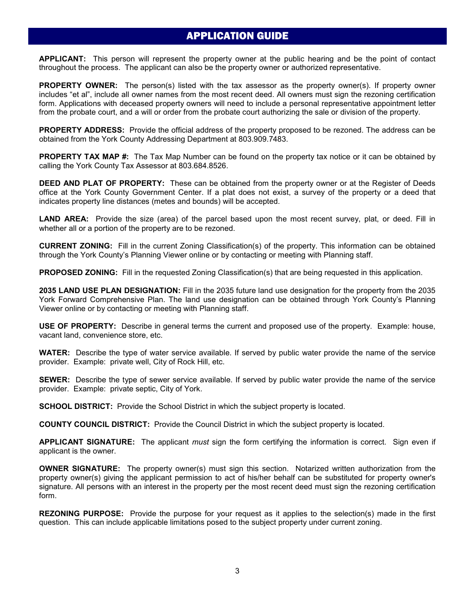#### APPLICATION GUIDE

**APPLICANT:** This person will represent the property owner at the public hearing and be the point of contact throughout the process. The applicant can also be the property owner or authorized representative.

**PROPERTY OWNER:** The person(s) listed with the tax assessor as the property owner(s). If property owner includes "et al", include all owner names from the most recent deed. All owners must sign the rezoning certification form. Applications with deceased property owners will need to include a personal representative appointment letter from the probate court, and a will or order from the probate court authorizing the sale or division of the property.

**PROPERTY ADDRESS:** Provide the official address of the property proposed to be rezoned. The address can be obtained from the York County Addressing Department at 803.909.7483.

**PROPERTY TAX MAP #:** The Tax Map Number can be found on the property tax notice or it can be obtained by calling the York County Tax Assessor at 803.684.8526.

**DEED AND PLAT OF PROPERTY:** These can be obtained from the property owner or at the Register of Deeds office at the York County Government Center. If a plat does not exist, a survey of the property or a deed that indicates property line distances (metes and bounds) will be accepted.

**LAND AREA:** Provide the size (area) of the parcel based upon the most recent survey, plat, or deed. Fill in whether all or a portion of the property are to be rezoned.

**CURRENT ZONING:** Fill in the current Zoning Classification(s) of the property. This information can be obtained through the York County's Planning Viewer online or by contacting or meeting with Planning staff.

**PROPOSED ZONING:** Fill in the requested Zoning Classification(s) that are being requested in this application.

**2035 LAND USE PLAN DESIGNATION:** Fill in the 2035 future land use designation for the property from the 2035 York Forward Comprehensive Plan. The land use designation can be obtained through York County's Planning Viewer online or by contacting or meeting with Planning staff.

**USE OF PROPERTY:** Describe in general terms the current and proposed use of the property. Example: house, vacant land, convenience store, etc.

**WATER:** Describe the type of water service available. If served by public water provide the name of the service provider. Example: private well, City of Rock Hill, etc.

**SEWER:** Describe the type of sewer service available. If served by public water provide the name of the service provider. Example: private septic, City of York.

**SCHOOL DISTRICT:** Provide the School District in which the subject property is located.

**COUNTY COUNCIL DISTRICT:** Provide the Council District in which the subject property is located.

**APPLICANT SIGNATURE:** The applicant *must* sign the form certifying the information is correct. Sign even if applicant is the owner.

**OWNER SIGNATURE:** The property owner(s) must sign this section. Notarized written authorization from the property owner(s) giving the applicant permission to act of his/her behalf can be substituted for property owner's signature. All persons with an interest in the property per the most recent deed must sign the rezoning certification form.

**REZONING PURPOSE:** Provide the purpose for your request as it applies to the selection(s) made in the first question. This can include applicable limitations posed to the subject property under current zoning.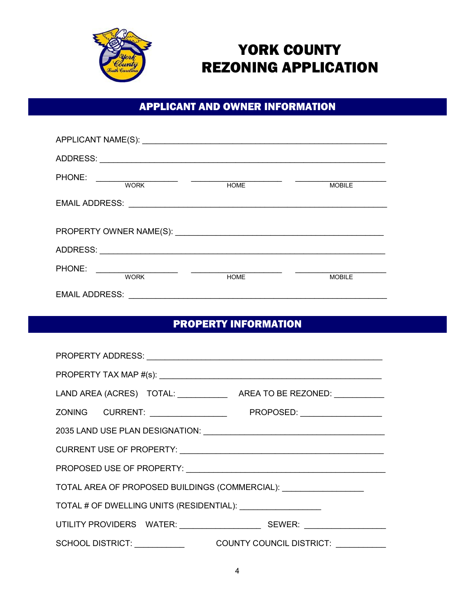

# YORK COUNTY REZONING APPLICATION

## APPLICANT AND OWNER INFORMATION

| ADDRESS:                                                                             |             |               |
|--------------------------------------------------------------------------------------|-------------|---------------|
| PHONE:<br><u> 1980 - Andrea Station Books, amerikansk politiker (</u><br><b>WORK</b> | <b>HOME</b> | <b>MOBILE</b> |
| <b>EMAIL ADDRESS:</b>                                                                |             |               |
|                                                                                      |             |               |
| ADDRESS:                                                                             |             |               |
| PHONE:<br><b>WORK</b>                                                                | <b>HOME</b> | <b>MOBILE</b> |
| <b>EMAIL ADDRESS:</b>                                                                |             |               |

## PROPERTY INFORMATION

| TOTAL AREA OF PROPOSED BUILDINGS (COMMERCIAL): \\otal___________________________ |  |  |  |                                           |  |
|----------------------------------------------------------------------------------|--|--|--|-------------------------------------------|--|
| TOTAL # OF DWELLING UNITS (RESIDENTIAL): ____________________                    |  |  |  |                                           |  |
|                                                                                  |  |  |  |                                           |  |
|                                                                                  |  |  |  | SCHOOL DISTRICT: COUNTY COUNCIL DISTRICT: |  |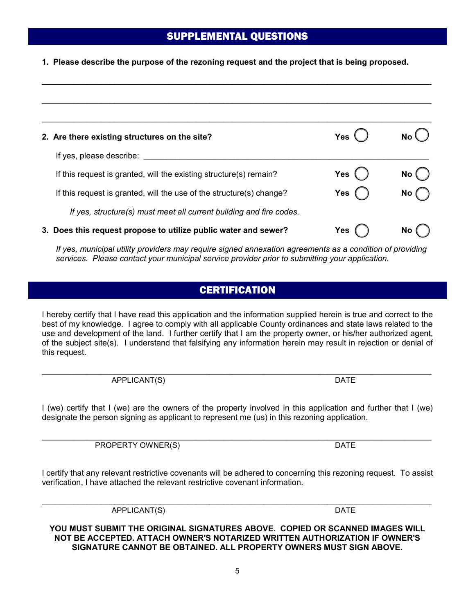#### **YOU MUST SUBMIT THE ORIGINAL SIGNATURES ABOVE. COPIED OR SCANNED IMAGES WILL NOT BE ACCEPTED. ATTACH OWNER'S NOTARIZED WRITTEN AUTHORIZATION IF OWNER'S SIGNATURE CANNOT BE OBTAINED. ALL PROPERTY OWNERS MUST SIGN ABOVE.**

# 5

# **CERTIFICATION**

I hereby certify that I have read this application and the information supplied herein is true and correct to the best of my knowledge. I agree to comply with all applicable County ordinances and state laws related to the use and development of the land. I further certify that I am the property owner, or his/her authorized agent, of the subject site(s). I understand that falsifying any information herein may result in rejection or denial of this request.

\_\_\_\_\_\_\_\_\_\_\_\_\_\_\_\_\_\_\_\_\_\_\_\_\_\_\_\_\_\_\_\_\_\_\_\_\_\_\_\_\_\_\_\_\_\_\_\_\_\_\_\_\_\_\_\_\_\_\_\_\_\_\_\_\_\_\_\_\_\_\_\_\_\_\_\_\_\_\_\_\_\_\_\_\_\_ APPLICANT(S) DATE

I (we) certify that I (we) are the owners of the property involved in this application and further that I (we) designate the person signing as applicant to represent me (us) in this rezoning application.

\_\_\_\_\_\_\_\_\_\_\_\_\_\_\_\_\_\_\_\_\_\_\_\_\_\_\_\_\_\_\_\_\_\_\_\_\_\_\_\_\_\_\_\_\_\_\_\_\_\_\_\_\_\_\_\_\_\_\_\_\_\_\_\_\_\_\_\_\_\_\_\_\_\_\_\_\_\_\_\_\_\_\_\_\_\_ PROPERTY OWNER(S) DATE

I certify that any relevant restrictive covenants will be adhered to concerning this rezoning request. To assist verification, I have attached the relevant restrictive covenant information.

3. Does this request propose to utilize public water and sewer? Yes  $\qquad)$  No

*If yes, municipal utility providers may require signed annexation agreements as a condition of providing services. Please contact your municipal service provider prior to submitting your application.*

 $\mathcal{L}_\text{max} = \frac{1}{2} \sum_{i=1}^n \mathcal{L}_\text{max} = \frac{1}{2} \sum_{i=1}^n \mathcal{L}_\text{max} = \frac{1}{2} \sum_{i=1}^n \mathcal{L}_\text{max} = \frac{1}{2} \sum_{i=1}^n \mathcal{L}_\text{max} = \frac{1}{2} \sum_{i=1}^n \mathcal{L}_\text{max} = \frac{1}{2} \sum_{i=1}^n \mathcal{L}_\text{max} = \frac{1}{2} \sum_{i=1}^n \mathcal{L}_\text{max} = \frac{1}{2} \sum_{i=$  $\mathcal{L}_\text{max} = \frac{1}{2} \sum_{i=1}^n \mathcal{L}_\text{max} = \frac{1}{2} \sum_{i=1}^n \mathcal{L}_\text{max} = \frac{1}{2} \sum_{i=1}^n \mathcal{L}_\text{max} = \frac{1}{2} \sum_{i=1}^n \mathcal{L}_\text{max} = \frac{1}{2} \sum_{i=1}^n \mathcal{L}_\text{max} = \frac{1}{2} \sum_{i=1}^n \mathcal{L}_\text{max} = \frac{1}{2} \sum_{i=1}^n \mathcal{L}_\text{max} = \frac{1}{2} \sum_{i=$ 2. Are there existing structures on the site? **The Contract of Second Contract Contract Contract Contract Contract Contract Contract Contract Contract Contract Contract Contract Contract Contract Contract Contract Contract** If yes, please describe: If this request is granted, will the existing structure(s) remain? **Yes** () No If this request is granted, will the use of the structure(s) change? **Yes** ( ) No *If yes, structure(s) must meet all current building and fire codes.* 

#### SUPPLEMENTAL QUESTIONS

 $\mathcal{L}_\text{max} = \frac{1}{2} \sum_{i=1}^n \mathcal{L}_\text{max} = \frac{1}{2} \sum_{i=1}^n \mathcal{L}_\text{max} = \frac{1}{2} \sum_{i=1}^n \mathcal{L}_\text{max} = \frac{1}{2} \sum_{i=1}^n \mathcal{L}_\text{max} = \frac{1}{2} \sum_{i=1}^n \mathcal{L}_\text{max} = \frac{1}{2} \sum_{i=1}^n \mathcal{L}_\text{max} = \frac{1}{2} \sum_{i=1}^n \mathcal{L}_\text{max} = \frac{1}{2} \sum_{i=$ 

**1. Please describe the purpose of the rezoning request and the project that is being proposed.** 

 $\mathcal{L}_\text{max} = \frac{1}{2} \sum_{i=1}^n \mathcal{L}_\text{max} = \frac{1}{2} \sum_{i=1}^n \mathcal{L}_\text{max} = \frac{1}{2} \sum_{i=1}^n \mathcal{L}_\text{max} = \frac{1}{2} \sum_{i=1}^n \mathcal{L}_\text{max} = \frac{1}{2} \sum_{i=1}^n \mathcal{L}_\text{max} = \frac{1}{2} \sum_{i=1}^n \mathcal{L}_\text{max} = \frac{1}{2} \sum_{i=1}^n \mathcal{L}_\text{max} = \frac{1}{2} \sum_{i=$ APPLICANT(S) DATE